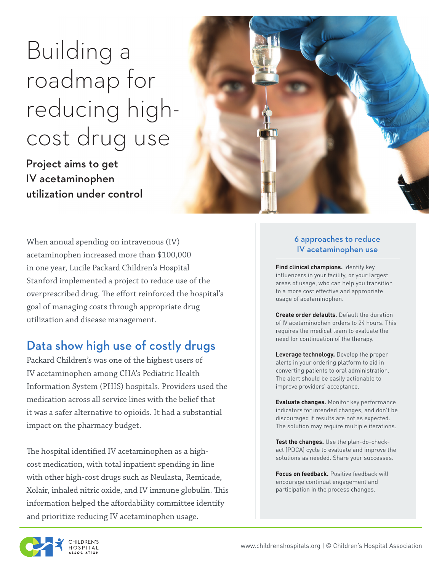# Building a roadmap for reducing highcost drug use

Project aims to get IV acetaminophen utilization under control



When annual spending on intravenous (IV) acetaminophen increased more than \$100,000 in one year, Lucile Packard Children's Hospital Stanford implemented a project to reduce use of the overprescribed drug. The effort reinforced the hospital's goal of managing costs through appropriate drug utilization and disease management.

# Data show high use of costly drugs

Packard Children's was one of the highest users of IV acetaminophen among CHA's Pediatric Health Information System (PHIS) hospitals. Providers used the medication across all service lines with the belief that it was a safer alternative to opioids. It had a substantial impact on the pharmacy budget.

The hospital identified IV acetaminophen as a highcost medication, with total inpatient spending in line with other high-cost drugs such as Neulasta, Remicade, Xolair, inhaled nitric oxide, and IV immune globulin. This information helped the affordability committee identify and prioritize reducing IV acetaminophen usage.

#### 6 approaches to reduce IV acetaminophen use

**Find clinical champions.** Identify key influencers in your facility, or your largest areas of usage, who can help you transition to a more cost effective and appropriate usage of acetaminophen.

**Create order defaults.** Default the duration of IV acetaminophen orders to 24 hours. This requires the medical team to evaluate the need for continuation of the therapy.

**Leverage technology.** Develop the proper alerts in your ordering platform to aid in converting patients to oral administration. The alert should be easily actionable to improve providers' acceptance.

**Evaluate changes.** Monitor key performance indicators for intended changes, and don't be discouraged if results are not as expected. The solution may require multiple iterations.

**Test the changes.** Use the plan-do-checkact (PDCA) cycle to evaluate and improve the solutions as needed. Share your successes.

**Focus on feedback.** Positive feedback will encourage continual engagement and participation in the process changes.